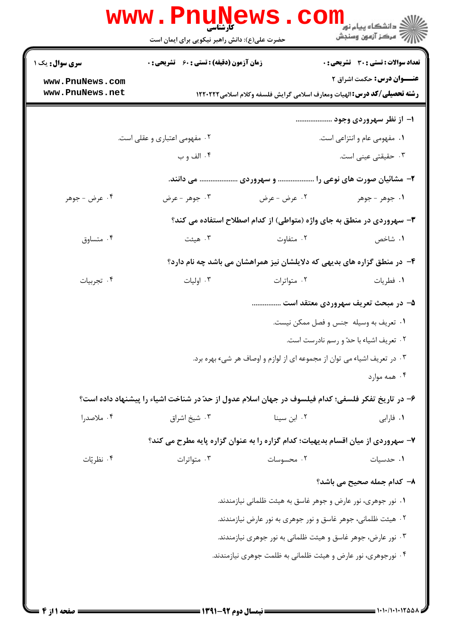|                                    | www.Pnul<br>کارشناسی<br>حضرت علی(ع): دانش راهبر نیکویی برای ایمان است                             | AWS                                                                              | ڪ دانشڪاه پيا <sub>م</sub> نور<br><mark>√</mark> مرڪز آزمون وسنڊش                                                    |  |
|------------------------------------|---------------------------------------------------------------------------------------------------|----------------------------------------------------------------------------------|----------------------------------------------------------------------------------------------------------------------|--|
| <b>سری سوال :</b> یک ۱             | زمان آزمون (دقیقه) : تستی : 60 ٪ تشریحی : 0                                                       |                                                                                  | <b>تعداد سوالات : تستی : 30 ٪ تشریحی : 0</b>                                                                         |  |
| www.PnuNews.com<br>www.PnuNews.net |                                                                                                   |                                                                                  | <b>عنـــوان درس:</b> حکمت اشراق ۲<br><b>رشته تحصیلی/کد درس:</b> الهیات ومعارف اسلامی گرایش فلسفه وکلام اسلامی1۲۲۰۲۲۲ |  |
|                                    |                                                                                                   |                                                                                  | ۱– از نظر سهروردی وجود                                                                                               |  |
|                                    | ۰۲ مفهومی اعتباری و عقلی است.                                                                     |                                                                                  | ٠١. مفهومي عام و انتزاعي است.                                                                                        |  |
|                                    | ۰۴ الف و ب                                                                                        |                                                                                  | ۰۳ حقیقتی عینی است.                                                                                                  |  |
|                                    |                                                                                                   | ۲- مشائیان صورت های نوعی را  و سهروردی  می دانند.                                |                                                                                                                      |  |
| ۰۴ عرض - جوهر                      | ۰۳ جوهر - عرض                                                                                     | ۰۲ عرض - عرض                                                                     | ١. جوهر - جوهر                                                                                                       |  |
|                                    |                                                                                                   | ۳- سهروردی در منطق به جای واژه (متواطی) از کدام اصطلاح استفاده می کند؟           |                                                                                                                      |  |
| ۰۴ متساوق                          | ۰۳ هیئت                                                                                           | ۰۲ متفاوت                                                                        | ۰۱ شاخص                                                                                                              |  |
|                                    |                                                                                                   | ۴- در منطق گزاره های بدیهی که دلایلشان نیز همراهشان می باشد چه نام دارد؟         |                                                                                                                      |  |
| ۰۴ تجربیات                         | ۰۳ اولیات                                                                                         | ۰۲ متواترات                                                                      | ٠١ فطريات                                                                                                            |  |
|                                    |                                                                                                   |                                                                                  | ۵- در مبحث تعریف سهروردی معتقد است                                                                                   |  |
|                                    |                                                                                                   |                                                                                  | ٠١ تعريف به وسيله جنس و فصل ممكن نيست.                                                                               |  |
|                                    |                                                                                                   |                                                                                  | ۰۲ تعریف اشیاء با حدّ و رسم نادرست است.                                                                              |  |
|                                    |                                                                                                   | ۰۳ در تعریف اشیاء می توان از مجموعه ای از لوازم و اوصاف هر شیء بهره برد.         |                                                                                                                      |  |
|                                    |                                                                                                   |                                                                                  | ۰۴ همه موارد                                                                                                         |  |
|                                    | ۶– در تاریخ تفکر فلسفی؛ کدام فیلسوف در جهان اسلام عدول از حدّ در شناخت اشیاء را پیشنهاد داده است؟ |                                                                                  |                                                                                                                      |  |
| ۰۴ ملاصدرا                         | ۰۳ شیخ اشراق                                                                                      | ۰۲ ابن سینا                                                                      | ٠١ فارابي                                                                                                            |  |
|                                    |                                                                                                   | ۷- سهروردی از میان اقسام بدیهیات؛ کدام گزاره را به عنوان گزاره پایه مطرح می کند؟ |                                                                                                                      |  |
| ۰۴ نظریّات                         | ۰۳ متواترات                                                                                       | ۰۲ محسوسات                                                                       | ۰۱ حدسیات                                                                                                            |  |
|                                    |                                                                                                   |                                                                                  | ۸– کدام جمله صحیح می باشد؟                                                                                           |  |
|                                    |                                                                                                   | ۰۱ نور جوهری، نور عارض و جوهر غاسق به هیئت ظلمانی نیازمندند.                     |                                                                                                                      |  |
|                                    |                                                                                                   | ۰۲ هیئت ظلمانی، جوهر غاسق و نور جوهری به نور عارض نیازمندند.                     |                                                                                                                      |  |
|                                    |                                                                                                   | ۰۳ نور عارض، جوهر غاسق و هیئت ظلمانی به نور جوهری نیازمندند.                     |                                                                                                                      |  |
|                                    |                                                                                                   | ۰۴ نورجوهری، نور عارض و هیئت ظلمانی به ظلمت جوهری نیازمندند.                     |                                                                                                                      |  |
|                                    |                                                                                                   |                                                                                  |                                                                                                                      |  |
|                                    |                                                                                                   |                                                                                  |                                                                                                                      |  |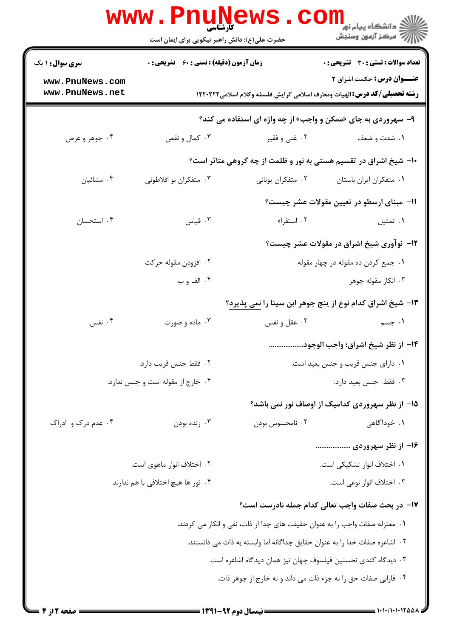| <b>سری سوال : ۱ یک</b><br>www.PnuNews.com<br>www.PnuNews.net               | زمان آزمون (دقیقه) : تستی : 60 ٪ تشریحی : 0                                 |                                    |                                                                                                                      |  |  |  |
|----------------------------------------------------------------------------|-----------------------------------------------------------------------------|------------------------------------|----------------------------------------------------------------------------------------------------------------------|--|--|--|
|                                                                            |                                                                             |                                    | <b>تعداد سوالات : تستی : 30 ٪ تشریحی : 0</b>                                                                         |  |  |  |
|                                                                            |                                                                             |                                    | <b>عنـــوان درس:</b> حکمت اشراق ۲<br><b>رشته تحصیلی/گد درس:</b> الهیات ومعارف اسلامی گرایش فلسفه وکلام اسلامی۱۲۲۰۲۲۲ |  |  |  |
|                                                                            | ۹- سهروردی به جای «ممکن و واجب» از چه واژه ای استفاده می کند؟               |                                    |                                                                                                                      |  |  |  |
| ۰۴ جوهر و عرض                                                              | ۰۳ کمال و نقص                                                               | ۰۲ غنی و فقیر                      | ۰۱ شدت و ضعف                                                                                                         |  |  |  |
|                                                                            |                                                                             |                                    | ۱۰− شیخ اشراق در تقسیم هستی به نور و ظلمت از چه گروهی متاثر است؟                                                     |  |  |  |
| ۰۴ مشائيان                                                                 | ۰۳ متفکران نو افلاطونی                                                      | ۰۲ متفکران یونانی                  | ٠١ متفكران ايران باستان                                                                                              |  |  |  |
|                                                                            |                                                                             |                                    | 11- مبنای ارسطو در تعیین مقولات عشر چیست؟                                                                            |  |  |  |
| ۰۴ استحسان                                                                 | ۰۳ قیاس                                                                     | ۰۲ استقراء                         | ٠١ تمثيل                                                                                                             |  |  |  |
|                                                                            |                                                                             |                                    | ۱۲- نوآوری شیخ اشراق در مقولات عشر چیست؟                                                                             |  |  |  |
|                                                                            | ۰۲ افزودن مقوله حرکت                                                        | ٠١ جمع كردن ده مقوله در چهار مقوله |                                                                                                                      |  |  |  |
|                                                                            | ۰۴ الف و ب                                                                  |                                    | ۰۳ انکار مقوله جوهر                                                                                                  |  |  |  |
|                                                                            |                                                                             |                                    | ۱۳- شیخ اشراق کدام نوع از ینج جوهر ابن سینا را نمی پذیرد؟                                                            |  |  |  |
| ۰۴ نفس                                                                     | ۰۳ ماده و صورت                                                              | ۰۲ عقل و نفس                       | ۰۱ جسم                                                                                                               |  |  |  |
|                                                                            |                                                                             |                                    | 1۴– از نظر شيخ اشراق؛ واجب الوجود                                                                                    |  |  |  |
|                                                                            | ۰۲ فقط جنس قریب دارد.                                                       | ٠١ دارای جنس قريب و جنس بعيد است.  |                                                                                                                      |  |  |  |
|                                                                            | ۰۴ خارج از مقوله است و جنس ندارد.                                           | ٠٣ فقط جنس بعيد دارد.              |                                                                                                                      |  |  |  |
|                                                                            |                                                                             |                                    | ۱۵– از نظر سهروردی کدامیک از اوصاف نور <u>نمی</u> باشد؟                                                              |  |  |  |
| ۰۴ عدم درک و ادراک                                                         | ۰۳ زنده بودن                                                                | ۰۲ نامحسوس بودن                    | ۰۱ خودآگاهی                                                                                                          |  |  |  |
|                                                                            |                                                                             |                                    | ۱۶– از نظر سهروردی                                                                                                   |  |  |  |
|                                                                            | ۰۲ اختلاف انوار ماهوی است.                                                  |                                    | ۰۱ اختلاف انوار تشکیکی است.                                                                                          |  |  |  |
| ۰۴ نور ها هیچ اختلافی با هم ندارند                                         |                                                                             |                                    | ۰۳ اختلاف انوار نوعی است.                                                                                            |  |  |  |
|                                                                            |                                                                             |                                    | <b>۱۷</b> – در بحث صفات واجب تعالی کدام جمله <u>نادرست</u> است؟                                                      |  |  |  |
|                                                                            | ٠١ معتزله صفات واجب را به عنوان حقيقت هاى جدا از ذات، نفى و انكار مى كردند. |                                    |                                                                                                                      |  |  |  |
| ٠٢ اشاعره صفات خدا را به عنوان حقايق جداگانه اما وابسته به ذات مى دانستند. |                                                                             |                                    |                                                                                                                      |  |  |  |
| ۰۳ دیدگاه کندی نخستین فیلسوف جهان نیز همان دیدگاه اشاعره است.              |                                                                             |                                    |                                                                                                                      |  |  |  |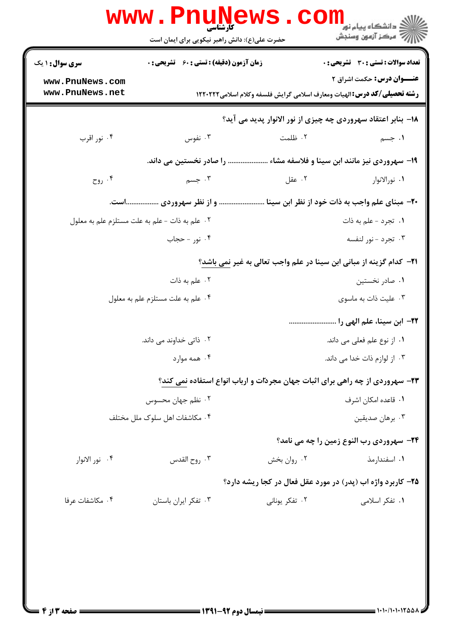|                                    | حضرت علی(ع): دانش راهبر نیکویی برای ایمان است      |                                                                              | سنجش آزمون وسنجش                                                                                                      |  |
|------------------------------------|----------------------------------------------------|------------------------------------------------------------------------------|-----------------------------------------------------------------------------------------------------------------------|--|
| <b>سری سوال : ۱ یک</b>             | <b>زمان آزمون (دقیقه) : تستی : 60 ٪ تشریحی : 0</b> |                                                                              | تعداد سوالات : تستى : 30 - تشريحي : 0                                                                                 |  |
| www.PnuNews.com<br>www.PnuNews.net |                                                    |                                                                              | <b>عنـــوان درس:</b> حکمت اشراق ۲<br><b>رشته تحصیلی/کد درس: ا</b> لهیات ومعارف اسلامی گرایش فلسفه وکلام اسلامی1۲۲۰۲۲۲ |  |
|                                    |                                                    | 18- بنابر اعتقاد سهروردی چه چیزی از نور الانوار پدید می آید؟                 |                                                                                                                       |  |
| ۰۴ نور اقرب                        | ۰۳ نفوس                                            | ۰۲ ظلمت                                                                      | ۰۱ جسم                                                                                                                |  |
|                                    | را صادر نخستین می داند.                            |                                                                              | <b>۱۹- سهروردی نیز مانند ابن سینا و فلاسفه مشاء </b>                                                                  |  |
| ۰۴ روح                             | ۰۳ جسم                                             | ۰۲ عقل                                                                       | ۰۱ نورالانوار                                                                                                         |  |
|                                    | و از نظر سهروردی است.                              | +۲- مبنای علم واجب به ذات خود از نظر ابن سینا                                |                                                                                                                       |  |
|                                    | ٢. علم به ذات - علم به علت مستلزم علم به معلول     |                                                                              | ٠١ تجرد - علم به ذات                                                                                                  |  |
|                                    | ۰۴ نور - حجاب                                      |                                                                              | ۰۳ تجرد - نور لنفسه                                                                                                   |  |
|                                    |                                                    | 21− كدام گزينه از مباني ابن سينا در علم واجب تعالي به غير نمي باشد؟          |                                                                                                                       |  |
|                                    | ۰۲ علم به ذات                                      |                                                                              | ۰۱ صادر نخستین                                                                                                        |  |
|                                    | ۰۴ علم به علت مستلزم علم به معلول                  |                                                                              | ۰۳ علیت ذات به ماسوی                                                                                                  |  |
|                                    |                                                    |                                                                              | <del>۲۲</del> - ابن سینا، علم الهی را                                                                                 |  |
|                                    | ۰۲ ذاتی خداوند می داند.                            | ٠١. از نوع علم فعلي مي داند.                                                 |                                                                                                                       |  |
|                                    | ۰۴ همه موارد                                       |                                                                              | ۰۳ از لوازم ذات خدا می داند.                                                                                          |  |
|                                    |                                                    | ۲۳- سهروردی از چه راهی برای اثبات جهان مجردات و ارباب انواع استفاده نمی کند؟ |                                                                                                                       |  |
| ۰۲ نظم جهان محسوس                  |                                                    | ٠١. قاعده امكان اشرف                                                         |                                                                                                                       |  |
| ۰۴ مکاشفات اهل سلوک ملل مختلف      |                                                    |                                                                              | ۰۳ برهان صدیقین                                                                                                       |  |
|                                    |                                                    |                                                                              | <b>34- سهروردي رب النوع زمين را چه مي نامد</b> ؟                                                                      |  |
| ۰۴ نور الانوار                     | ۰۳ روح القدس                                       | ۰۲ روان بخش                                                                  | ۰۱ اسفندارمذ                                                                                                          |  |
|                                    |                                                    | ۲۵- کاربرد واژه اب (پدر) در مورد عقل فعال در کجا ریشه دارد؟                  |                                                                                                                       |  |
| ۰۴ مكاشفات عرفا                    | ۰۳ تفکر ایران باستان                               | ۰۲ تفکر یونانی                                                               | ۰۱ تفکر اسلامی                                                                                                        |  |